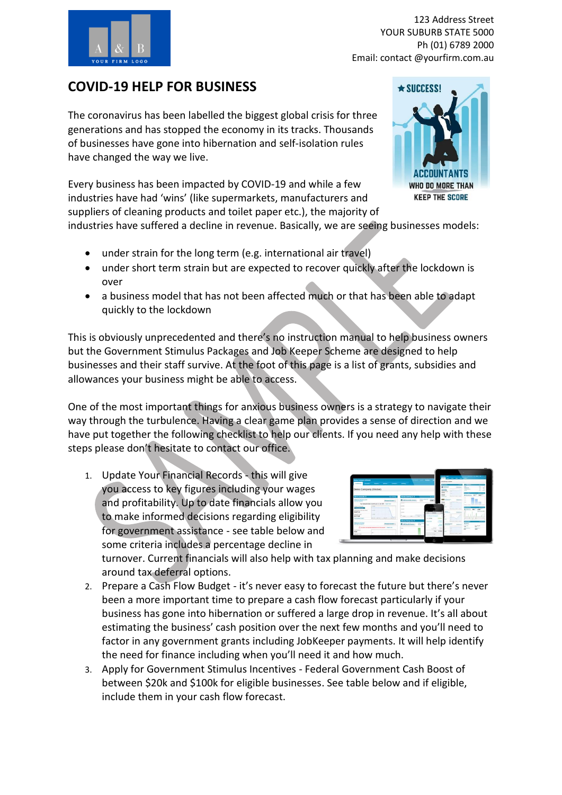

123 Address Street YOUR SUBURB STATE 5000 Ph (01) 6789 2000 Email: contact @yourfirm.com.au

## **COVID-19 HELP FOR BUSINESS**

The coronavirus has been labelled the biggest global crisis for three generations and has stopped the economy in its tracks. Thousands of businesses have gone into hibernation and self-isolation rules have changed the way we live.

Every business has been impacted by COVID-19 and while a few industries have had 'wins' (like supermarkets, manufacturers and suppliers of cleaning products and toilet paper etc.), the majority of



industries have suffered a decline in revenue. Basically, we are seeing businesses models:

- under strain for the long term (e.g. international air travel)
- under short term strain but are expected to recover quickly after the lockdown is over
- a business model that has not been affected much or that has been able to adapt quickly to the lockdown

This is obviously unprecedented and there's no instruction manual to help business owners but the Government Stimulus Packages and Job Keeper Scheme are designed to help businesses and their staff survive. At the foot of this page is a list of grants, subsidies and allowances your business might be able to access.

One of the most important things for anxious business owners is a strategy to navigate their way through the turbulence. Having a clear game plan provides a sense of direction and we have put together the following checklist to help our clients. If you need any help with these steps please don't hesitate to contact our office.

1. Update Your Financial Records - this will give you access to key figures including your wages and profitability. Up to date financials allow you to make informed decisions regarding eligibility for government assistance - see table below and some criteria includes a percentage decline in



turnover. Current financials will also help with tax planning and make decisions around tax deferral options.

- 2. Prepare a Cash Flow Budget it's never easy to forecast the future but there's never been a more important time to prepare a cash flow forecast particularly if your business has gone into hibernation or suffered a large drop in revenue. It's all about estimating the business' cash position over the next few months and you'll need to factor in any government grants including JobKeeper payments. It will help identify the need for finance including when you'll need it and how much.
- 3. Apply for Government Stimulus Incentives Federal Government Cash Boost of between \$20k and \$100k for eligible businesses. See table below and if eligible, include them in your cash flow forecast.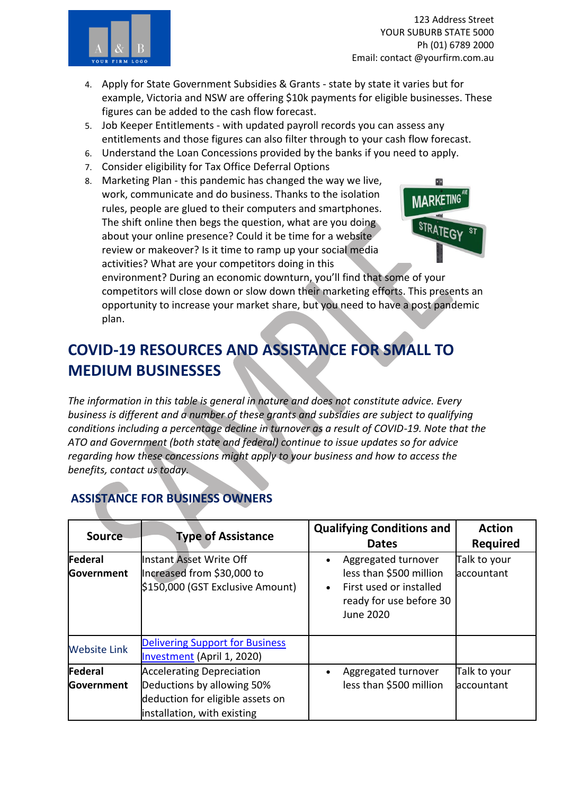

- 4. Apply for State Government Subsidies & Grants state by state it varies but for example, Victoria and NSW are offering \$10k payments for eligible businesses. These figures can be added to the cash flow forecast.
- 5. Job Keeper Entitlements with updated payroll records you can assess any entitlements and those figures can also filter through to your cash flow forecast.
- 6. Understand the Loan Concessions provided by the banks if you need to apply.
- 7. Consider eligibility for Tax Office Deferral Options
- 8. Marketing Plan this pandemic has changed the way we live, work, communicate and do business. Thanks to the isolation rules, people are glued to their computers and smartphones. The shift online then begs the question, what are you doing about your online presence? Could it be time for a website review or makeover? Is it time to ramp up your social media activities? What are your competitors doing in this



environment? During an economic downturn, you'll find that some of your competitors will close down or slow down their marketing efforts. This presents an opportunity to increase your market share, but you need to have a post pandemic plan.

## **COVID-19 RESOURCES AND ASSISTANCE FOR SMALL TO MEDIUM BUSINESSES**

*The information in this table is general in nature and does not constitute advice. Every business is different and a number of these grants and subsidies are subject to qualifying conditions including a percentage decline in turnover as a result of COVID-19. Note that the ATO and Government (both state and federal) continue to issue updates so for advice regarding how these concessions might apply to your business and how to access the benefits, contact us today.*

## **ASSISTANCE FOR BUSINESS OWNERS**

| <b>Source</b>                | <b>Type of Assistance</b>                                                                                                         | <b>Qualifying Conditions and</b><br><b>Dates</b>                                                                                            | <b>Action</b><br><b>Required</b> |
|------------------------------|-----------------------------------------------------------------------------------------------------------------------------------|---------------------------------------------------------------------------------------------------------------------------------------------|----------------------------------|
| Federal<br>Government        | Instant Asset Write Off<br>Increased from \$30,000 to<br>\$150,000 (GST Exclusive Amount)                                         | Aggregated turnover<br>$\bullet$<br>less than \$500 million<br>First used or installed<br>$\bullet$<br>ready for use before 30<br>June 2020 | Talk to your<br>accountant       |
| <b>Website Link</b>          | <b>Delivering Support for Business</b><br>Investment (April 1, 2020)                                                              |                                                                                                                                             |                                  |
| Federal<br><b>Government</b> | <b>Accelerating Depreciation</b><br>Deductions by allowing 50%<br>deduction for eligible assets on<br>installation, with existing | Aggregated turnover<br>$\bullet$<br>less than \$500 million                                                                                 | Talk to your<br>accountant       |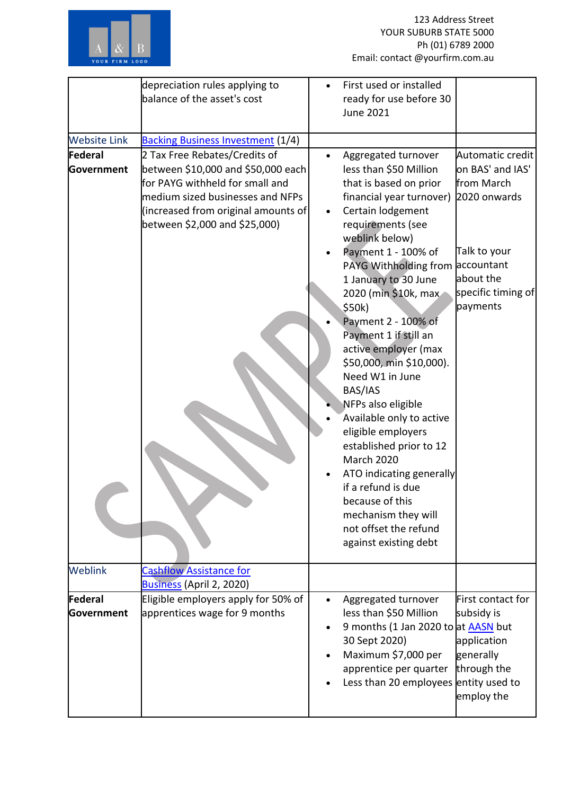

|                       | depreciation rules applying to<br>balance of the asset's cost                                                                                                                                                      |           | First used or installed<br>ready for use before 30<br><b>June 2021</b>                                                                                                                                                                                                                                                                                                                                                                                                                                                                                                                                                                                                            |                                                                                                                                                 |
|-----------------------|--------------------------------------------------------------------------------------------------------------------------------------------------------------------------------------------------------------------|-----------|-----------------------------------------------------------------------------------------------------------------------------------------------------------------------------------------------------------------------------------------------------------------------------------------------------------------------------------------------------------------------------------------------------------------------------------------------------------------------------------------------------------------------------------------------------------------------------------------------------------------------------------------------------------------------------------|-------------------------------------------------------------------------------------------------------------------------------------------------|
| <b>Website Link</b>   | <b>Backing Business Investment (1/4)</b>                                                                                                                                                                           |           |                                                                                                                                                                                                                                                                                                                                                                                                                                                                                                                                                                                                                                                                                   |                                                                                                                                                 |
| Federal<br>Government | 2 Tax Free Rebates/Credits of<br>between \$10,000 and \$50,000 each<br>for PAYG withheld for small and<br>medium sized businesses and NFPs<br>(increased from original amounts of<br>between \$2,000 and \$25,000) |           | Aggregated turnover<br>less than \$50 Million<br>that is based on prior<br>financial year turnover)<br>Certain lodgement<br>requirements (see<br>weblink below)<br>Payment 1 - 100% of<br>PAYG Withholding from<br>1 January to 30 June<br>2020 (min \$10k, max<br>\$50k)<br>Payment 2 - 100% of<br>Payment 1 if still an<br>active employer (max<br>\$50,000, min \$10,000).<br>Need W1 in June<br>BAS/IAS<br>NFPs also eligible<br>Available only to active<br>eligible employers<br>established prior to 12<br><b>March 2020</b><br>ATO indicating generally<br>if a refund is due<br>because of this<br>mechanism they will<br>not offset the refund<br>against existing debt | Automatic credit<br>on BAS' and IAS'<br>from March<br>2020 onwards<br>Talk to your<br>accountant<br>about the<br>specific timing of<br>payments |
| <b>Weblink</b>        | <b>Cashflow Assistance for</b><br>Business (April 2, 2020)                                                                                                                                                         |           |                                                                                                                                                                                                                                                                                                                                                                                                                                                                                                                                                                                                                                                                                   |                                                                                                                                                 |
| Federal<br>Government | Eligible employers apply for 50% of<br>apprentices wage for 9 months                                                                                                                                               | $\bullet$ | Aggregated turnover<br>less than \$50 Million<br>9 months (1 Jan 2020 to at AASN but<br>30 Sept 2020)<br>Maximum \$7,000 per<br>apprentice per quarter<br>Less than 20 employees entity used to                                                                                                                                                                                                                                                                                                                                                                                                                                                                                   | First contact for<br>subsidy is<br>application<br>generally<br>through the<br>employ the                                                        |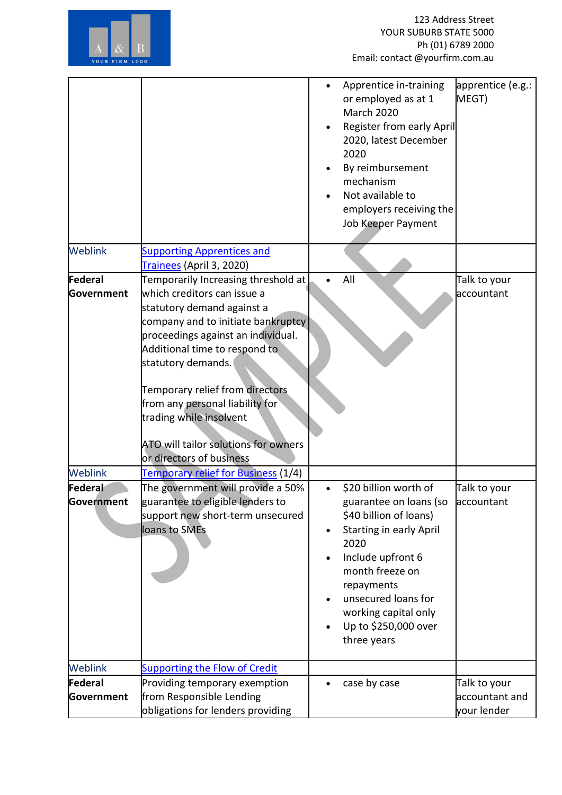

|                       |                                                                                                                                                                                                                                                                                                                                                                                                          |           | Apprentice in-training<br>or employed as at 1<br><b>March 2020</b><br>Register from early April<br>2020, latest December<br>2020<br>By reimbursement<br>mechanism<br>Not available to<br>employers receiving the<br>Job Keeper Payment                          | apprentice (e.g.:<br>MEGT)                    |
|-----------------------|----------------------------------------------------------------------------------------------------------------------------------------------------------------------------------------------------------------------------------------------------------------------------------------------------------------------------------------------------------------------------------------------------------|-----------|-----------------------------------------------------------------------------------------------------------------------------------------------------------------------------------------------------------------------------------------------------------------|-----------------------------------------------|
| <b>Weblink</b>        | <b>Supporting Apprentices and</b><br>Trainees (April 3, 2020)                                                                                                                                                                                                                                                                                                                                            |           |                                                                                                                                                                                                                                                                 |                                               |
| Federal<br>Government | Temporarily Increasing threshold at<br>which creditors can issue a<br>statutory demand against a<br>company and to initiate bankruptcy<br>proceedings against an individual.<br>Additional time to respond to<br>statutory demands.<br>Temporary relief from directors<br>from any personal liability for<br>trading while insolvent<br>ATO will tailor solutions for owners<br>or directors of business |           | All                                                                                                                                                                                                                                                             | Talk to your<br>accountant                    |
| <b>Weblink</b>        | <b>Temporary relief for Business (1/4)</b>                                                                                                                                                                                                                                                                                                                                                               |           |                                                                                                                                                                                                                                                                 |                                               |
| Federal<br>Government | The government will provide a 50%<br>guarantee to eligible lenders to<br>support new short-term unsecured<br>loans to SMEs                                                                                                                                                                                                                                                                               | $\bullet$ | \$20 billion worth of<br>guarantee on loans (so<br>\$40 billion of loans)<br><b>Starting in early April</b><br>2020<br>Include upfront 6<br>month freeze on<br>repayments<br>unsecured loans for<br>working capital only<br>Up to \$250,000 over<br>three years | Talk to your<br>accountant                    |
| Weblink               | <b>Supporting the Flow of Credit</b>                                                                                                                                                                                                                                                                                                                                                                     |           |                                                                                                                                                                                                                                                                 |                                               |
| Federal<br>Government | Providing temporary exemption<br>from Responsible Lending<br>obligations for lenders providing                                                                                                                                                                                                                                                                                                           |           | case by case                                                                                                                                                                                                                                                    | Talk to your<br>accountant and<br>your lender |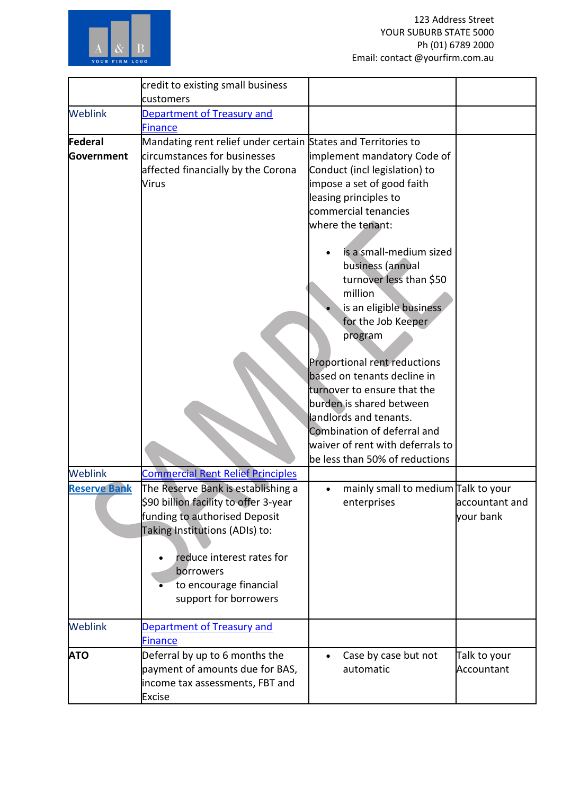

| customers<br>Department of Treasury and<br><b>Finance</b><br>Mandating rent relief under certain States and Territories to<br>circumstances for businesses<br>implement mandatory Code of<br>Government<br>affected financially by the Corona<br>Conduct (incl legislation) to<br>impose a set of good faith<br><b>Virus</b><br>leasing principles to<br>commercial tenancies<br>where the tenant:<br>is a small-medium sized<br>business (annual<br>turnover less than \$50<br>million<br>is an eligible business<br>for the Job Keeper<br>program<br>Proportional rent reductions<br>based on tenants decline in<br>turnover to ensure that the<br>burden is shared between<br>landlords and tenants.<br>Combination of deferral and<br>waiver of rent with deferrals to<br>be less than 50% of reductions<br>Weblink<br><b>Commercial Rent Relief Principles</b><br>The Reserve Bank is establishing a<br>mainly small to medium Talk to your<br><b>Reserve Bank</b><br>\$90 billion facility to offer 3-year<br>enterprises<br>accountant and<br>funding to authorised Deposit<br>your bank<br>Taking Institutions (ADIs) to:<br>reduce interest rates for<br>borrowers<br>to encourage financial<br>support for borrowers<br><b>Weblink</b><br>Department of Treasury and<br><b>Finance</b> |                | credit to existing small business |                      |              |
|--------------------------------------------------------------------------------------------------------------------------------------------------------------------------------------------------------------------------------------------------------------------------------------------------------------------------------------------------------------------------------------------------------------------------------------------------------------------------------------------------------------------------------------------------------------------------------------------------------------------------------------------------------------------------------------------------------------------------------------------------------------------------------------------------------------------------------------------------------------------------------------------------------------------------------------------------------------------------------------------------------------------------------------------------------------------------------------------------------------------------------------------------------------------------------------------------------------------------------------------------------------------------------------------------|----------------|-----------------------------------|----------------------|--------------|
|                                                                                                                                                                                                                                                                                                                                                                                                                                                                                                                                                                                                                                                                                                                                                                                                                                                                                                                                                                                                                                                                                                                                                                                                                                                                                                  |                |                                   |                      |              |
|                                                                                                                                                                                                                                                                                                                                                                                                                                                                                                                                                                                                                                                                                                                                                                                                                                                                                                                                                                                                                                                                                                                                                                                                                                                                                                  | <b>Weblink</b> |                                   |                      |              |
|                                                                                                                                                                                                                                                                                                                                                                                                                                                                                                                                                                                                                                                                                                                                                                                                                                                                                                                                                                                                                                                                                                                                                                                                                                                                                                  |                |                                   |                      |              |
|                                                                                                                                                                                                                                                                                                                                                                                                                                                                                                                                                                                                                                                                                                                                                                                                                                                                                                                                                                                                                                                                                                                                                                                                                                                                                                  | Federal        |                                   |                      |              |
|                                                                                                                                                                                                                                                                                                                                                                                                                                                                                                                                                                                                                                                                                                                                                                                                                                                                                                                                                                                                                                                                                                                                                                                                                                                                                                  |                |                                   |                      |              |
|                                                                                                                                                                                                                                                                                                                                                                                                                                                                                                                                                                                                                                                                                                                                                                                                                                                                                                                                                                                                                                                                                                                                                                                                                                                                                                  |                |                                   |                      |              |
|                                                                                                                                                                                                                                                                                                                                                                                                                                                                                                                                                                                                                                                                                                                                                                                                                                                                                                                                                                                                                                                                                                                                                                                                                                                                                                  |                |                                   |                      |              |
|                                                                                                                                                                                                                                                                                                                                                                                                                                                                                                                                                                                                                                                                                                                                                                                                                                                                                                                                                                                                                                                                                                                                                                                                                                                                                                  |                |                                   |                      |              |
|                                                                                                                                                                                                                                                                                                                                                                                                                                                                                                                                                                                                                                                                                                                                                                                                                                                                                                                                                                                                                                                                                                                                                                                                                                                                                                  |                |                                   |                      |              |
|                                                                                                                                                                                                                                                                                                                                                                                                                                                                                                                                                                                                                                                                                                                                                                                                                                                                                                                                                                                                                                                                                                                                                                                                                                                                                                  |                |                                   |                      |              |
|                                                                                                                                                                                                                                                                                                                                                                                                                                                                                                                                                                                                                                                                                                                                                                                                                                                                                                                                                                                                                                                                                                                                                                                                                                                                                                  |                |                                   |                      |              |
|                                                                                                                                                                                                                                                                                                                                                                                                                                                                                                                                                                                                                                                                                                                                                                                                                                                                                                                                                                                                                                                                                                                                                                                                                                                                                                  |                |                                   |                      |              |
|                                                                                                                                                                                                                                                                                                                                                                                                                                                                                                                                                                                                                                                                                                                                                                                                                                                                                                                                                                                                                                                                                                                                                                                                                                                                                                  |                |                                   |                      |              |
|                                                                                                                                                                                                                                                                                                                                                                                                                                                                                                                                                                                                                                                                                                                                                                                                                                                                                                                                                                                                                                                                                                                                                                                                                                                                                                  |                |                                   |                      |              |
|                                                                                                                                                                                                                                                                                                                                                                                                                                                                                                                                                                                                                                                                                                                                                                                                                                                                                                                                                                                                                                                                                                                                                                                                                                                                                                  |                |                                   |                      |              |
|                                                                                                                                                                                                                                                                                                                                                                                                                                                                                                                                                                                                                                                                                                                                                                                                                                                                                                                                                                                                                                                                                                                                                                                                                                                                                                  |                |                                   |                      |              |
|                                                                                                                                                                                                                                                                                                                                                                                                                                                                                                                                                                                                                                                                                                                                                                                                                                                                                                                                                                                                                                                                                                                                                                                                                                                                                                  |                |                                   |                      |              |
|                                                                                                                                                                                                                                                                                                                                                                                                                                                                                                                                                                                                                                                                                                                                                                                                                                                                                                                                                                                                                                                                                                                                                                                                                                                                                                  |                |                                   |                      |              |
|                                                                                                                                                                                                                                                                                                                                                                                                                                                                                                                                                                                                                                                                                                                                                                                                                                                                                                                                                                                                                                                                                                                                                                                                                                                                                                  |                |                                   |                      |              |
|                                                                                                                                                                                                                                                                                                                                                                                                                                                                                                                                                                                                                                                                                                                                                                                                                                                                                                                                                                                                                                                                                                                                                                                                                                                                                                  |                |                                   |                      |              |
|                                                                                                                                                                                                                                                                                                                                                                                                                                                                                                                                                                                                                                                                                                                                                                                                                                                                                                                                                                                                                                                                                                                                                                                                                                                                                                  |                |                                   |                      |              |
|                                                                                                                                                                                                                                                                                                                                                                                                                                                                                                                                                                                                                                                                                                                                                                                                                                                                                                                                                                                                                                                                                                                                                                                                                                                                                                  |                |                                   |                      |              |
|                                                                                                                                                                                                                                                                                                                                                                                                                                                                                                                                                                                                                                                                                                                                                                                                                                                                                                                                                                                                                                                                                                                                                                                                                                                                                                  |                |                                   |                      |              |
|                                                                                                                                                                                                                                                                                                                                                                                                                                                                                                                                                                                                                                                                                                                                                                                                                                                                                                                                                                                                                                                                                                                                                                                                                                                                                                  |                |                                   |                      |              |
|                                                                                                                                                                                                                                                                                                                                                                                                                                                                                                                                                                                                                                                                                                                                                                                                                                                                                                                                                                                                                                                                                                                                                                                                                                                                                                  |                |                                   |                      |              |
|                                                                                                                                                                                                                                                                                                                                                                                                                                                                                                                                                                                                                                                                                                                                                                                                                                                                                                                                                                                                                                                                                                                                                                                                                                                                                                  |                |                                   |                      |              |
|                                                                                                                                                                                                                                                                                                                                                                                                                                                                                                                                                                                                                                                                                                                                                                                                                                                                                                                                                                                                                                                                                                                                                                                                                                                                                                  |                |                                   |                      |              |
|                                                                                                                                                                                                                                                                                                                                                                                                                                                                                                                                                                                                                                                                                                                                                                                                                                                                                                                                                                                                                                                                                                                                                                                                                                                                                                  |                |                                   |                      |              |
|                                                                                                                                                                                                                                                                                                                                                                                                                                                                                                                                                                                                                                                                                                                                                                                                                                                                                                                                                                                                                                                                                                                                                                                                                                                                                                  |                |                                   |                      |              |
|                                                                                                                                                                                                                                                                                                                                                                                                                                                                                                                                                                                                                                                                                                                                                                                                                                                                                                                                                                                                                                                                                                                                                                                                                                                                                                  |                |                                   |                      |              |
|                                                                                                                                                                                                                                                                                                                                                                                                                                                                                                                                                                                                                                                                                                                                                                                                                                                                                                                                                                                                                                                                                                                                                                                                                                                                                                  |                |                                   |                      |              |
|                                                                                                                                                                                                                                                                                                                                                                                                                                                                                                                                                                                                                                                                                                                                                                                                                                                                                                                                                                                                                                                                                                                                                                                                                                                                                                  |                |                                   |                      |              |
|                                                                                                                                                                                                                                                                                                                                                                                                                                                                                                                                                                                                                                                                                                                                                                                                                                                                                                                                                                                                                                                                                                                                                                                                                                                                                                  |                |                                   |                      |              |
|                                                                                                                                                                                                                                                                                                                                                                                                                                                                                                                                                                                                                                                                                                                                                                                                                                                                                                                                                                                                                                                                                                                                                                                                                                                                                                  |                |                                   |                      |              |
|                                                                                                                                                                                                                                                                                                                                                                                                                                                                                                                                                                                                                                                                                                                                                                                                                                                                                                                                                                                                                                                                                                                                                                                                                                                                                                  |                |                                   |                      |              |
|                                                                                                                                                                                                                                                                                                                                                                                                                                                                                                                                                                                                                                                                                                                                                                                                                                                                                                                                                                                                                                                                                                                                                                                                                                                                                                  |                |                                   |                      |              |
|                                                                                                                                                                                                                                                                                                                                                                                                                                                                                                                                                                                                                                                                                                                                                                                                                                                                                                                                                                                                                                                                                                                                                                                                                                                                                                  |                |                                   |                      |              |
|                                                                                                                                                                                                                                                                                                                                                                                                                                                                                                                                                                                                                                                                                                                                                                                                                                                                                                                                                                                                                                                                                                                                                                                                                                                                                                  |                |                                   |                      |              |
|                                                                                                                                                                                                                                                                                                                                                                                                                                                                                                                                                                                                                                                                                                                                                                                                                                                                                                                                                                                                                                                                                                                                                                                                                                                                                                  | <b>ATO</b>     | Deferral by up to 6 months the    | Case by case but not | Talk to your |
| payment of amounts due for BAS,<br>automatic<br>Accountant                                                                                                                                                                                                                                                                                                                                                                                                                                                                                                                                                                                                                                                                                                                                                                                                                                                                                                                                                                                                                                                                                                                                                                                                                                       |                |                                   |                      |              |
| income tax assessments, FBT and                                                                                                                                                                                                                                                                                                                                                                                                                                                                                                                                                                                                                                                                                                                                                                                                                                                                                                                                                                                                                                                                                                                                                                                                                                                                  |                |                                   |                      |              |
| <b>Excise</b>                                                                                                                                                                                                                                                                                                                                                                                                                                                                                                                                                                                                                                                                                                                                                                                                                                                                                                                                                                                                                                                                                                                                                                                                                                                                                    |                |                                   |                      |              |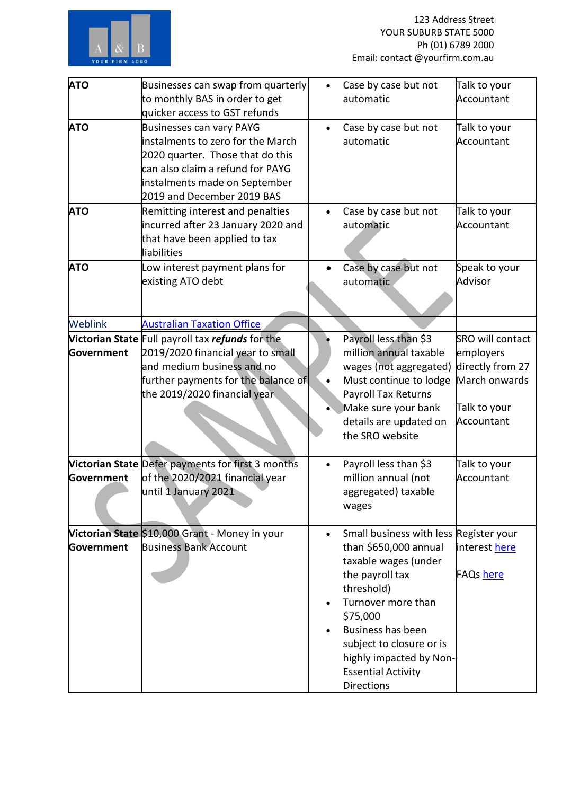

| <b>ATO</b> | Businesses can swap from quarterly                      |           | Case by case but not                   | Talk to your            |
|------------|---------------------------------------------------------|-----------|----------------------------------------|-------------------------|
|            | to monthly BAS in order to get                          |           | automatic                              | Accountant              |
|            | quicker access to GST refunds                           |           |                                        |                         |
| <b>ATO</b> | <b>Businesses can vary PAYG</b>                         | $\bullet$ | Case by case but not                   | Talk to your            |
|            | instalments to zero for the March                       |           | automatic                              | Accountant              |
|            | 2020 quarter. Those that do this                        |           |                                        |                         |
|            | can also claim a refund for PAYG                        |           |                                        |                         |
|            |                                                         |           |                                        |                         |
|            | instalments made on September                           |           |                                        |                         |
|            | 2019 and December 2019 BAS                              |           |                                        |                         |
| <b>ATO</b> | Remitting interest and penalties                        | $\bullet$ | Case by case but not                   | Talk to your            |
|            | incurred after 23 January 2020 and                      |           | automatic                              | Accountant              |
|            | that have been applied to tax                           |           |                                        |                         |
|            | liabilities                                             |           |                                        |                         |
| <b>ATO</b> | Low interest payment plans for                          | $\bullet$ | Case by case but not                   | Speak to your           |
|            | existing ATO debt                                       |           | automatic                              | Advisor                 |
|            |                                                         |           |                                        |                         |
|            |                                                         |           |                                        |                         |
| Weblink    | <b>Australian Taxation Office</b>                       |           |                                        |                         |
|            | Victorian State Full payroll tax <i>refunds</i> for the |           | Payroll less than \$3                  | <b>SRO will contact</b> |
| Government | 2019/2020 financial year to small                       |           | million annual taxable                 | employers               |
|            | and medium business and no                              |           | wages (not aggregated)                 | directly from 27        |
|            | further payments for the balance of                     | $\bullet$ | Must continue to lodge                 | March onwards           |
|            |                                                         |           |                                        |                         |
|            | the 2019/2020 financial year                            |           | Payroll Tax Returns                    |                         |
|            |                                                         |           | Make sure your bank                    | Talk to your            |
|            |                                                         |           | details are updated on                 | Accountant              |
|            |                                                         |           | the SRO website                        |                         |
|            |                                                         |           |                                        |                         |
|            | Victorian State Defer payments for first 3 months       | $\bullet$ | Payroll less than \$3                  | Talk to your            |
| Government | of the 2020/2021 financial year                         |           | million annual (not                    | Accountant              |
|            | until 1 January 2021                                    |           | aggregated) taxable                    |                         |
|            |                                                         |           | wages                                  |                         |
|            |                                                         |           |                                        |                         |
|            | Victorian State \$10,000 Grant - Money in your          | $\bullet$ | Small business with less Register your |                         |
| Government | <b>Business Bank Account</b>                            |           | than \$650,000 annual                  | interest here           |
|            |                                                         |           | taxable wages (under                   |                         |
|            |                                                         |           | the payroll tax                        | <b>FAQs</b> here        |
|            |                                                         |           | threshold)                             |                         |
|            |                                                         |           |                                        |                         |
|            |                                                         |           | Turnover more than                     |                         |
|            |                                                         |           | \$75,000                               |                         |
|            |                                                         |           | Business has been                      |                         |
|            |                                                         |           | subject to closure or is               |                         |
|            |                                                         |           | highly impacted by Non-                |                         |
|            |                                                         |           | <b>Essential Activity</b>              |                         |
|            |                                                         |           | <b>Directions</b>                      |                         |